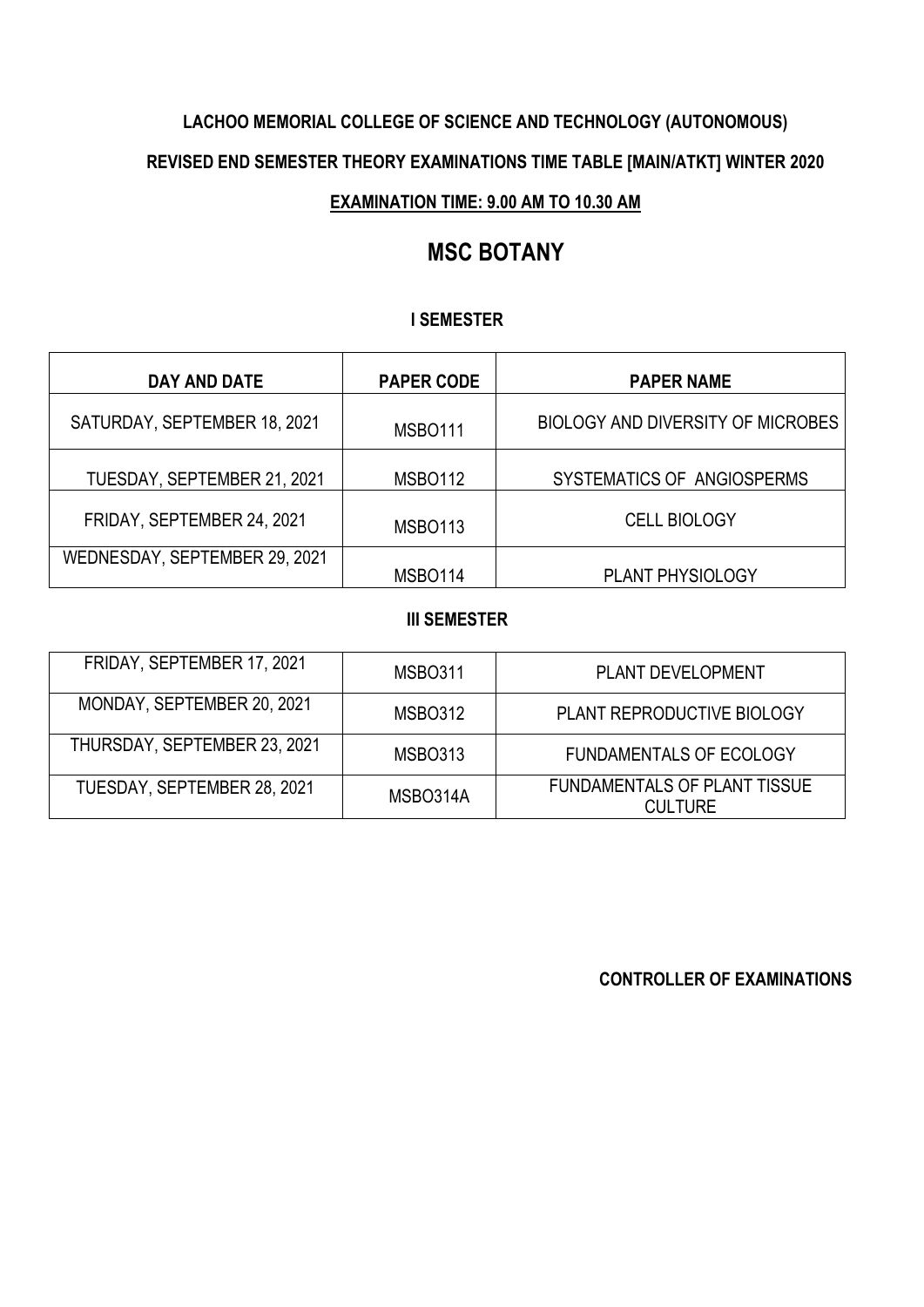# **LACHOO MEMORIAL COLLEGE OF SCIENCE AND TECHNOLOGY (AUTONOMOUS)**

# **REVISED END SEMESTER THEORY EXAMINATIONS TIME TABLE [MAIN/ATKT] WINTER 2020**

#### **EXAMINATION TIME: 9.00 AM TO 10.30 AM**

# **MSC BOTANY**

#### **I SEMESTER**

| DAY AND DATE                  | <b>PAPER CODE</b>   | <b>PAPER NAME</b>                 |
|-------------------------------|---------------------|-----------------------------------|
| SATURDAY, SEPTEMBER 18, 2021  | <b>MSBO111</b>      | BIOLOGY AND DIVERSITY OF MICROBES |
| TUESDAY, SEPTEMBER 21, 2021   | MSBO <sub>112</sub> | SYSTEMATICS OF ANGIOSPERMS        |
| FRIDAY, SEPTEMBER 24, 2021    | MSBO <sub>113</sub> | <b>CELL BIOLOGY</b>               |
| WEDNESDAY, SEPTEMBER 29, 2021 | MSBO <sub>114</sub> | PLANT PHYSIOLOGY                  |

#### **III SEMESTER**

| FRIDAY, SEPTEMBER 17, 2021   | <b>MSBO311</b> | <b>PLANT DEVELOPMENT</b>                |
|------------------------------|----------------|-----------------------------------------|
| MONDAY, SEPTEMBER 20, 2021   | MSBO312        | PLANT REPRODUCTIVE BIOLOGY              |
| THURSDAY, SEPTEMBER 23, 2021 | MSBO313        | <b>FUNDAMENTALS OF ECOLOGY</b>          |
| TUESDAY, SEPTEMBER 28, 2021  | MSBO314A       | FUNDAMENTALS OF PLANT TISSUE<br>CULTURE |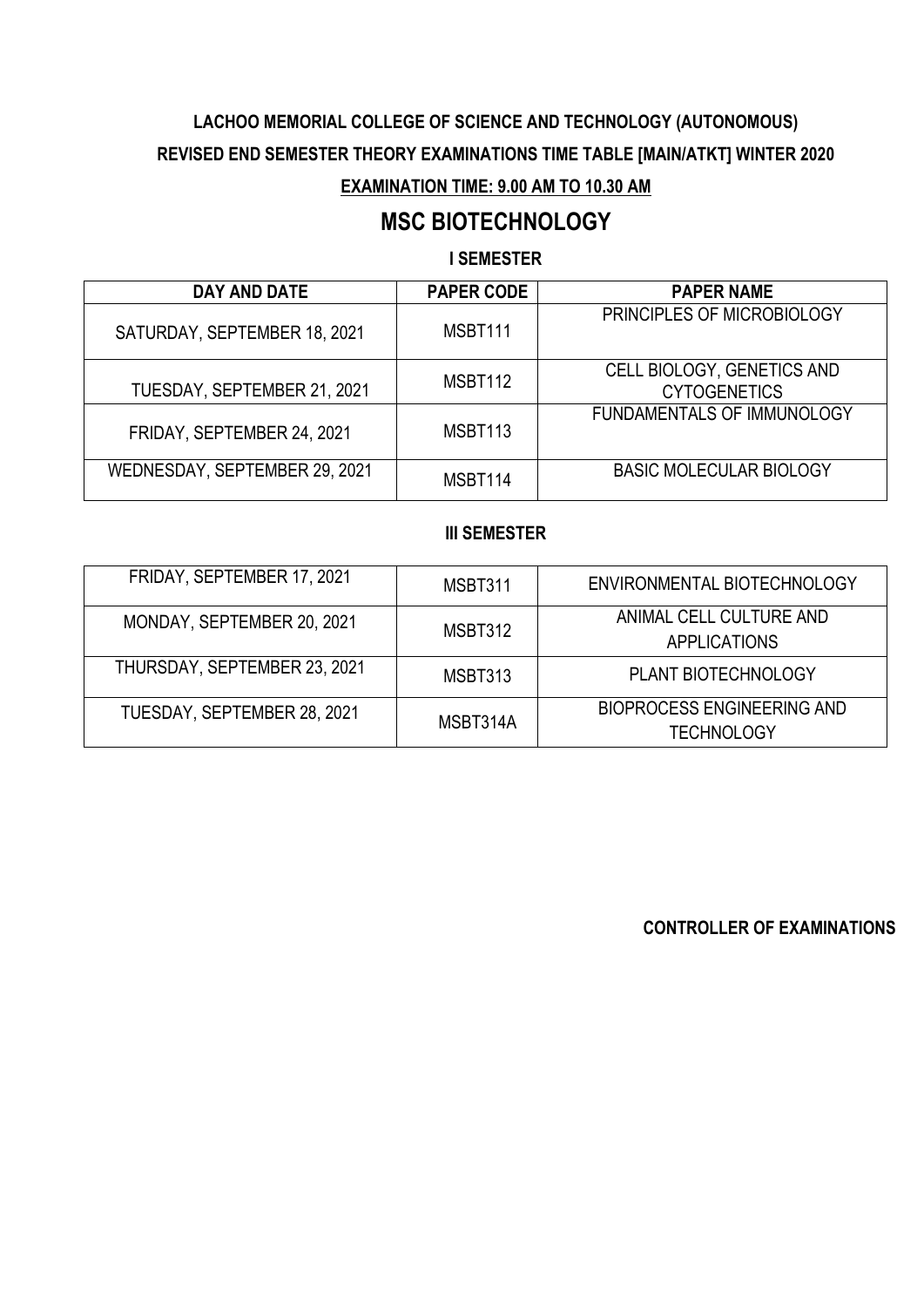# **MSC BIOTECHNOLOGY**

#### **I SEMESTER**

| DAY AND DATE                  | <b>PAPER CODE</b> | <b>PAPER NAME</b>                                 |
|-------------------------------|-------------------|---------------------------------------------------|
| SATURDAY, SEPTEMBER 18, 2021  | MSBT111           | PRINCIPLES OF MICROBIOLOGY                        |
| TUESDAY, SEPTEMBER 21, 2021   | MSBT112           | CELL BIOLOGY, GENETICS AND<br><b>CYTOGENETICS</b> |
| FRIDAY, SEPTEMBER 24, 2021    | MSBT113           | <b>FUNDAMENTALS OF IMMUNOLOGY</b>                 |
| WEDNESDAY, SEPTEMBER 29, 2021 | MSBT114           | <b>BASIC MOLECULAR BIOLOGY</b>                    |

#### **III SEMESTER**

| FRIDAY, SEPTEMBER 17, 2021   | MSBT311  | ENVIRONMENTAL BIOTECHNOLOGY                            |
|------------------------------|----------|--------------------------------------------------------|
| MONDAY, SEPTEMBER 20, 2021   | MSBT312  | ANIMAL CELL CULTURE AND<br><b>APPLICATIONS</b>         |
| THURSDAY, SEPTEMBER 23, 2021 | MSBT313  | PLANT BIOTECHNOLOGY                                    |
| TUESDAY, SEPTEMBER 28, 2021  | MSBT314A | <b>BIOPROCESS ENGINEERING AND</b><br><b>TECHNOLOGY</b> |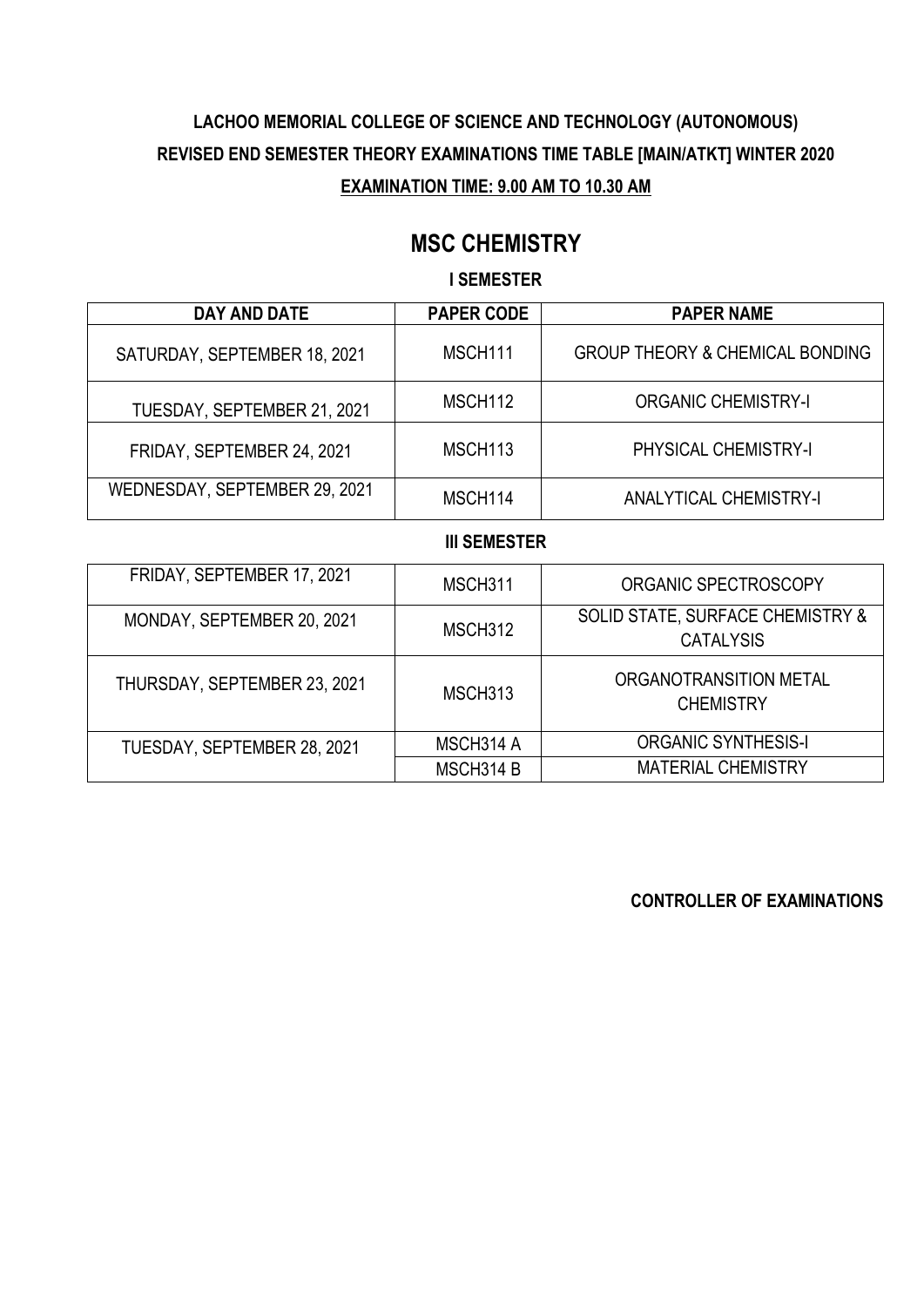# **MSC CHEMISTRY**

#### **I SEMESTER**

| <b>DAY AND DATE</b>           | <b>PAPER CODE</b>   | <b>PAPER NAME</b>                                    |  |
|-------------------------------|---------------------|------------------------------------------------------|--|
| SATURDAY, SEPTEMBER 18, 2021  | MSCH <sub>111</sub> | <b>GROUP THEORY &amp; CHEMICAL BONDING</b>           |  |
| TUESDAY, SEPTEMBER 21, 2021   | MSCH <sub>112</sub> | <b>ORGANIC CHEMISTRY-I</b>                           |  |
| FRIDAY, SEPTEMBER 24, 2021    | MSCH <sub>113</sub> | <b>PHYSICAL CHEMISTRY-I</b>                          |  |
| WEDNESDAY, SEPTEMBER 29, 2021 | MSCH <sub>114</sub> | <b>ANALYTICAL CHEMISTRY-I</b>                        |  |
| <b>III SEMESTER</b>           |                     |                                                      |  |
| FRIDAY, SEPTEMBER 17, 2021    | MSCH311             | ORGANIC SPECTROSCOPY                                 |  |
| MONDAY, SEPTEMBER 20, 2021    | MSCH312             | SOLID STATE, SURFACE CHEMISTRY &<br><b>CATALYSIS</b> |  |
| THURSDAY, SEPTEMBER 23, 2021  | MSCH313             | ORGANOTRANSITION METAL<br><b>CHEMISTRY</b>           |  |
| TUESDAY, SEPTEMBER 28, 2021   | MSCH314 A           | <b>ORGANIC SYNTHESIS-I</b>                           |  |
|                               | MSCH314 B           | <b>MATERIAL CHEMISTRY</b>                            |  |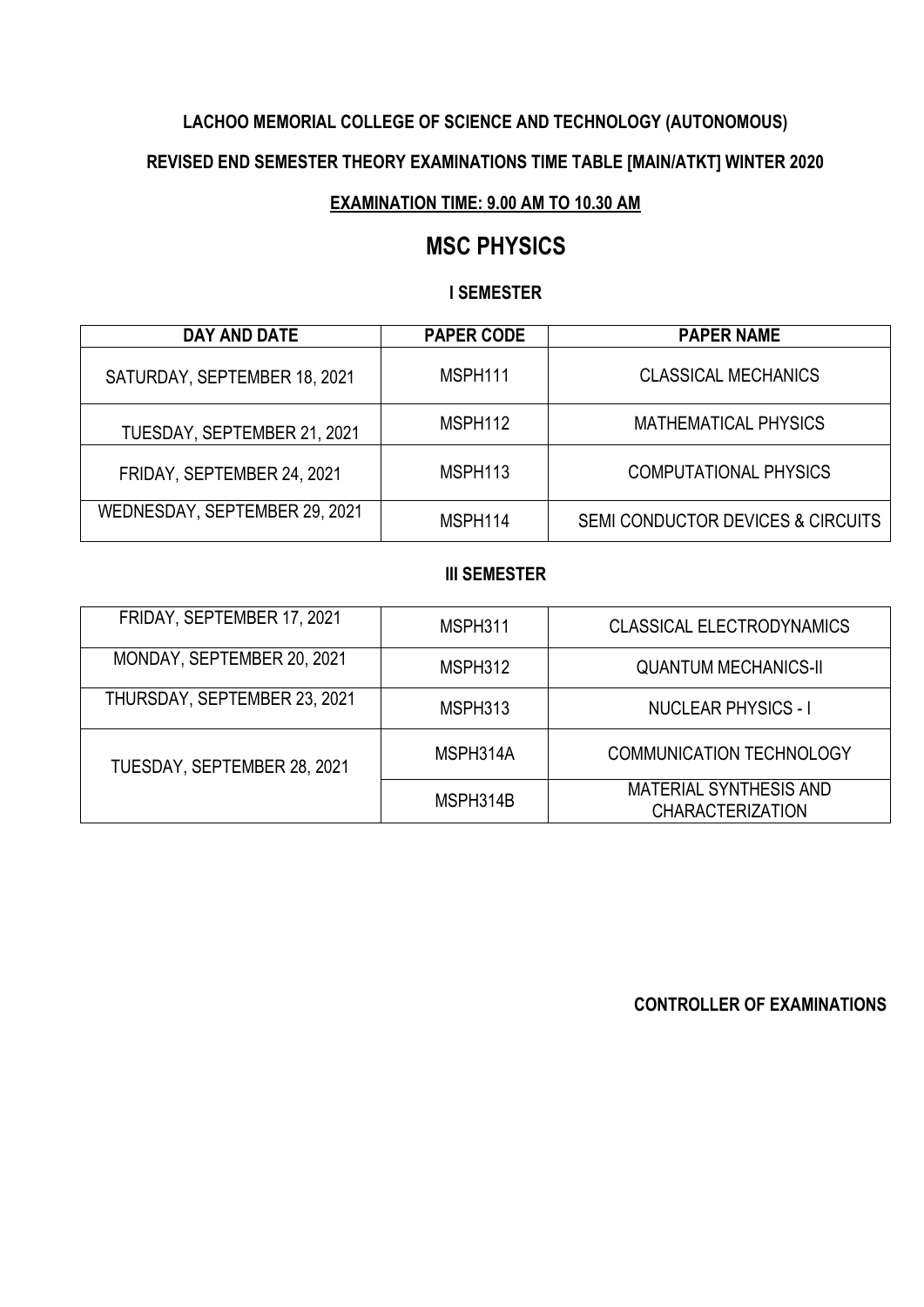### **LACHOO MEMORIAL COLLEGE OF SCIENCE AND TECHNOLOGY (AUTONOMOUS)**

### **REVISED END SEMESTER THEORY EXAMINATIONS TIME TABLE [MAIN/ATKT] WINTER 2020**

#### **EXAMINATION TIME: 9.00 AM TO 10.30 AM**

## **MSC PHYSICS**

#### **I SEMESTER**

| DAY AND DATE                  | <b>PAPER CODE</b>   | <b>PAPER NAME</b>                            |
|-------------------------------|---------------------|----------------------------------------------|
| SATURDAY, SEPTEMBER 18, 2021  | MSPH <sub>111</sub> | <b>CLASSICAL MECHANICS</b>                   |
| TUESDAY, SEPTEMBER 21, 2021   | MSPH <sub>112</sub> | <b>MATHEMATICAL PHYSICS</b>                  |
| FRIDAY, SEPTEMBER 24, 2021    | MSPH <sub>113</sub> | <b>COMPUTATIONAL PHYSICS</b>                 |
| WEDNESDAY, SEPTEMBER 29, 2021 | MSPH114             | <b>SEMI CONDUCTOR DEVICES &amp; CIRCUITS</b> |

#### **III SEMESTER**

| FRIDAY, SEPTEMBER 17, 2021   | MSPH311  | <b>CLASSICAL ELECTRODYNAMICS</b>                         |
|------------------------------|----------|----------------------------------------------------------|
| MONDAY, SEPTEMBER 20, 2021   | MSPH312  | <b>QUANTUM MECHANICS-II</b>                              |
| THURSDAY, SEPTEMBER 23, 2021 | MSPH313  | <b>NUCLEAR PHYSICS - I</b>                               |
| TUESDAY, SEPTEMBER 28, 2021  | MSPH314A | <b>COMMUNICATION TECHNOLOGY</b>                          |
|                              | MSPH314B | <b>MATERIAL SYNTHESIS AND</b><br><b>CHARACTERIZATION</b> |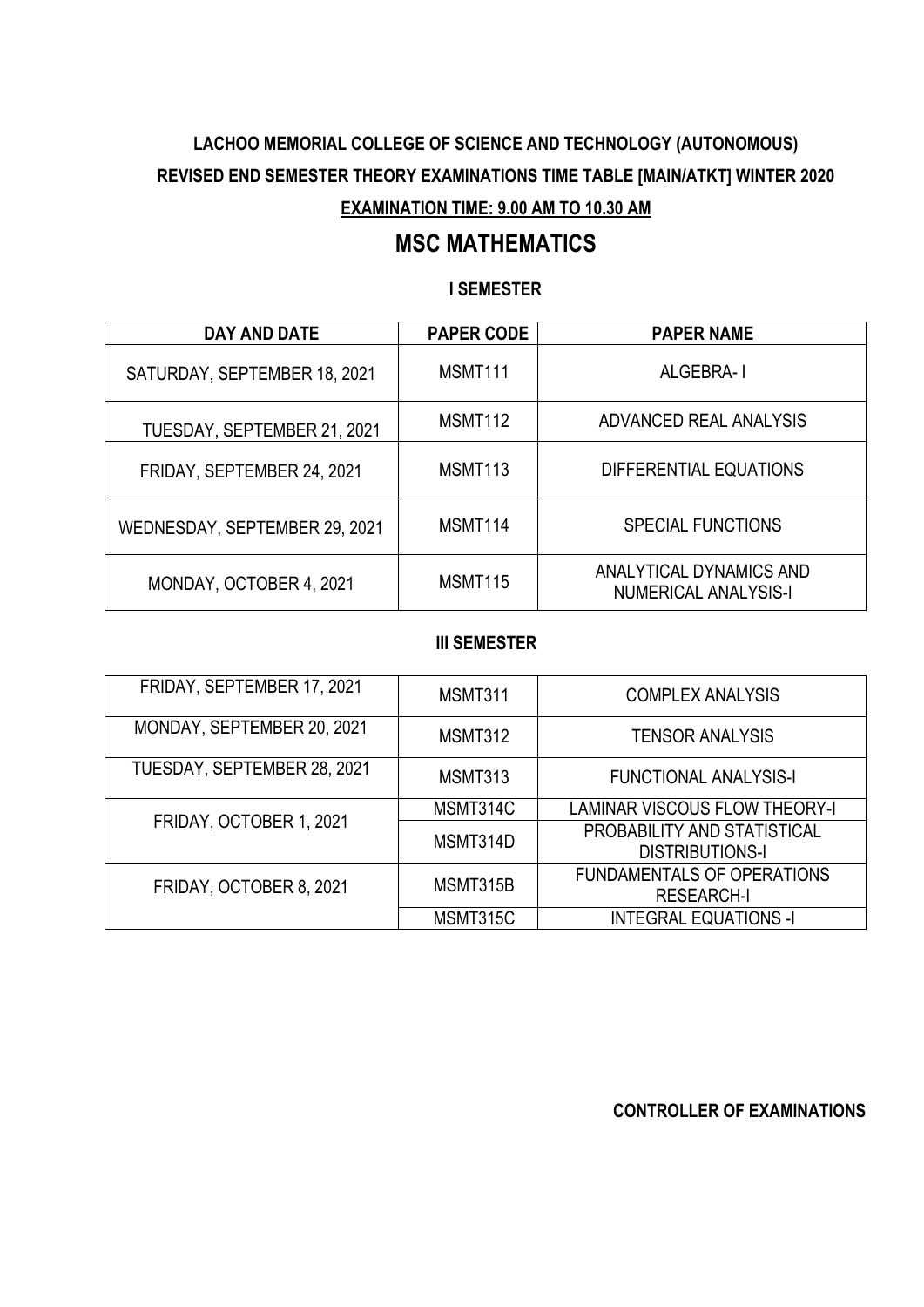## **MSC MATHEMATICS**

#### **I SEMESTER**

| DAY AND DATE                  | <b>PAPER CODE</b> | <b>PAPER NAME</b>                                      |
|-------------------------------|-------------------|--------------------------------------------------------|
| SATURDAY, SEPTEMBER 18, 2021  | MSMT111           | ALGEBRA-I                                              |
| TUESDAY, SEPTEMBER 21, 2021   | MSMT112           | ADVANCED REAL ANALYSIS                                 |
| FRIDAY, SEPTEMBER 24, 2021    | MSMT113           | DIFFERENTIAL EQUATIONS                                 |
| WEDNESDAY, SEPTEMBER 29, 2021 | MSMT114           | <b>SPECIAL FUNCTIONS</b>                               |
| MONDAY, OCTOBER 4, 2021       | MSMT115           | ANALYTICAL DYNAMICS AND<br><b>NUMERICAL ANALYSIS-I</b> |

#### **III SEMESTER**

| FRIDAY, SEPTEMBER 17, 2021  | MSMT311  | <b>COMPLEX ANALYSIS</b>              |
|-----------------------------|----------|--------------------------------------|
| MONDAY, SEPTEMBER 20, 2021  | MSMT312  | <b>TENSOR ANALYSIS</b>               |
| TUESDAY, SEPTEMBER 28, 2021 | MSMT313  | <b>FUNCTIONAL ANALYSIS-I</b>         |
|                             | MSMT314C | <b>LAMINAR VISCOUS FLOW THEORY-I</b> |
| FRIDAY, OCTOBER 1, 2021     | MSMT314D | PROBABILITY AND STATISTICAL          |
|                             |          | <b>DISTRIBUTIONS-I</b>               |
|                             | MSMT315B | <b>FUNDAMENTALS OF OPERATIONS</b>    |
| FRIDAY, OCTOBER 8, 2021     |          | <b>RESEARCH-I</b>                    |
|                             | MSMT315C | <b>INTEGRAL EQUATIONS -I</b>         |